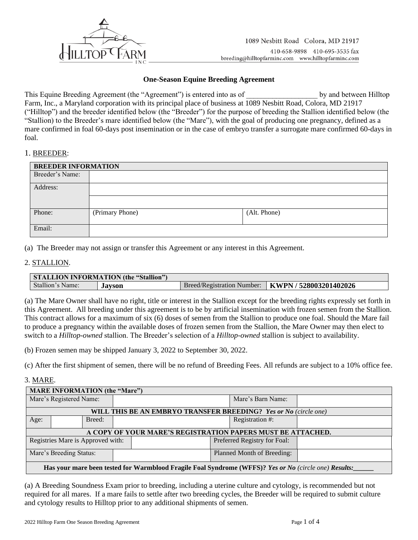

## **One-Season Equine Breeding Agreement**

This Equine Breeding Agreement (the "Agreement") is entered into as of  $\qquad \qquad$  by and between Hilltop Farm, Inc., a Maryland corporation with its principal place of business at 1089 Nesbitt Road, Colora, MD 21917 ("Hilltop") and the breeder identified below (the "Breeder") for the purpose of breeding the Stallion identified below (the "Stallion) to the Breeder's mare identified below (the "Mare"), with the goal of producing one pregnancy, defined as a mare confirmed in foal 60-days post insemination or in the case of embryo transfer a surrogate mare confirmed 60-days in foal.

### 1. BREEDER:

| <b>BREEDER INFORMATION</b> |                 |              |  |  |
|----------------------------|-----------------|--------------|--|--|
| Breeder's Name:            |                 |              |  |  |
| Address:                   |                 |              |  |  |
|                            |                 |              |  |  |
| Phone:                     | (Primary Phone) | (Alt. Phone) |  |  |
| Email:                     |                 |              |  |  |

(a) The Breeder may not assign or transfer this Agreement or any interest in this Agreement.

## 2. STALLION.

| <b>STALLION INFORMATION (the "Stallion")</b> |        |  |                                                     |  |
|----------------------------------------------|--------|--|-----------------------------------------------------|--|
| Stallion's Name:                             | Javson |  | Breed/Registration Number:   KWPN / 528003201402026 |  |

(a) The Mare Owner shall have no right, title or interest in the Stallion except for the breeding rights expressly set forth in this Agreement. All breeding under this agreement is to be by artificial insemination with frozen semen from the Stallion. This contract allows for a maximum of six (6) doses of semen from the Stallion to produce one foal. Should the Mare fail to produce a pregnancy within the available doses of frozen semen from the Stallion, the Mare Owner may then elect to switch to a *Hilltop-owned* stallion. The Breeder's selection of a *Hilltop-owned* stallion is subject to availability.

(b) Frozen semen may be shipped January 3, 2022 to September 30, 2022.

(c) After the first shipment of semen, there will be no refund of Breeding Fees. All refunds are subject to a 10% office fee.

### 3. MARE.

| <b>MARE INFORMATION (the "Mare")</b>                                                                  |                                                             |                              |  |  |                   |  |
|-------------------------------------------------------------------------------------------------------|-------------------------------------------------------------|------------------------------|--|--|-------------------|--|
| Mare's Registered Name:                                                                               |                                                             |                              |  |  | Mare's Barn Name: |  |
|                                                                                                       |                                                             |                              |  |  |                   |  |
| <b>WILL THIS BE AN EMBRYO TRANSFER BREEDING?</b> Yes or No (circle one)                               |                                                             |                              |  |  |                   |  |
| Age:                                                                                                  |                                                             | Breed:                       |  |  | Registration #:   |  |
|                                                                                                       |                                                             |                              |  |  |                   |  |
|                                                                                                       | A COPY OF YOUR MARE'S REGISTRATION PAPERS MUST BE ATTACHED. |                              |  |  |                   |  |
| Registries Mare is Approved with:                                                                     |                                                             | Preferred Registry for Foal: |  |  |                   |  |
|                                                                                                       |                                                             |                              |  |  |                   |  |
| Mare's Breeding Status:                                                                               |                                                             | Planned Month of Breeding:   |  |  |                   |  |
|                                                                                                       |                                                             |                              |  |  |                   |  |
| Has your mare been tested for Warmblood Fragile Foal Syndrome (WFFS)? Yes or No (circle one) Results: |                                                             |                              |  |  |                   |  |

(a) A Breeding Soundness Exam prior to breeding, including a uterine culture and cytology, is recommended but not required for all mares. If a mare fails to settle after two breeding cycles, the Breeder will be required to submit culture and cytology results to Hilltop prior to any additional shipments of semen.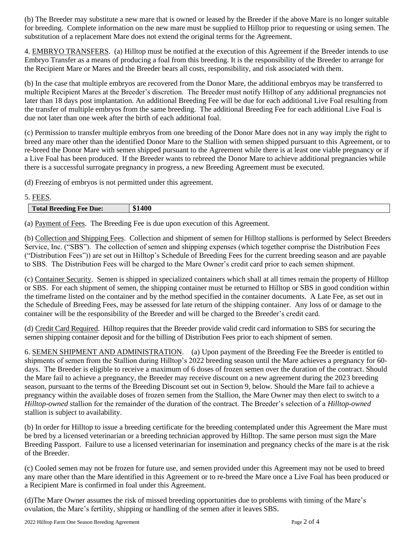(b) The Breeder may substitute a new mare that is owned or leased by the Breeder if the above Mare is no longer suitable for breeding. Complete information on the new mare must be supplied to Hilltop prior to requesting or using semen. The substitution of a replacement Mare does not extend the original terms for the Agreement.

4. EMBRYO TRANSFERS. (a) Hilltop must be notified at the execution of this Agreement if the Breeder intends to use Embryo Transfer as a means of producing a foal from this breeding. It is the responsibility of the Breeder to arrange for the Recipient Mare or Mares and the Breeder bears all costs, responsibility, and risk associated with them.

(b) In the case that multiple embryos are recovered from the Donor Mare, the additional embryos may be transferred to multiple Recipient Mares at the Breeder's discretion. The Breeder must notify Hilltop of any additional pregnancies not later than 18 days post implantation. An additional Breeding Fee will be due for each additional Live Foal resulting from the transfer of multiple embryos from the same breeding. The additional Breeding Fee for each additional Live Foal is due not later than one week after the birth of each additional foal.

(c) Permission to transfer multiple embryos from one breeding of the Donor Mare does not in any way imply the right to breed any mare other than the identified Donor Mare to the Stallion with semen shipped pursuant to this Agreement, or to re-breed the Donor Mare with semen shipped pursuant to the Agreement while there is at least one viable pregnancy or if a Live Foal has been produced. If the Breeder wants to rebreed the Donor Mare to achieve additional pregnancies while there is a successful surrogate pregnancy in progress, a new Breeding Agreement must be executed.

(d) Freezing of embryos is not permitted under this agreement.

# 5. FEES.

| $\overline{ }$<br>Due.<br><b>TOTAL DI COMPLE</b> | 1 A C<br>-<br>---- |
|--------------------------------------------------|--------------------|

(a) Payment of Fees. The Breeding Fee is due upon execution of this Agreement.

(b) Collection and Shipping Fees. Collection and shipment of semen for Hilltop stallions is performed by Select Breeders Service, Inc. ("SBS"). The collection of semen and shipping expenses (which together comprise the Distribution Fees ("Distribution Fees")) are set out in Hilltop's Schedule of Breeding Fees for the current breeding season and are payable to SBS. The Distribution Fees will be charged to the Mare Owner's credit card prior to each semen shipment.

(c) Container Security. Semen is shipped in specialized containers which shall at all times remain the property of Hilltop or SBS. For each shipment of semen, the shipping container must be returned to Hilltop or SBS in good condition within the timeframe listed on the container and by the method specified in the container documents. A Late Fee, as set out in the Schedule of Breeding Fees, may be assessed for late return of the shipping container. Any loss of or damage to the container will be the responsibility of the Breeder and will be charged to the Breeder's credit card.

(d) Credit Card Required. Hilltop requires that the Breeder provide valid credit card information to SBS for securing the semen shipping container deposit and for the billing of Distribution Fees prior to each shipment of semen.

6. SEMEN SHIPMENT AND ADMINISTRATION. (a) Upon payment of the Breeding Fee the Breeder is entitled to shipments of semen from the Stallion during Hilltop's 2022 breeding season until the Mare achieves a pregnancy for 60 days. The Breeder is eligible to receive a maximum of 6 doses of frozen semen over the duration of the contract. Should the Mare fail to achieve a pregnancy, the Breeder may receive discount on a new agreement during the 2023 breeding season, pursuant to the terms of the Breeding Discount set out in Section 9, below. Should the Mare fail to achieve a pregnancy within the available doses of frozen semen from the Stallion, the Mare Owner may then elect to switch to a *Hilltop-owned* stallion for the remainder of the duration of the contract. The Breeder's selection of a *Hilltop-owned* stallion is subject to availability.

(b) In order for Hilltop to issue a breeding certificate for the breeding contemplated under this Agreement the Mare must be bred by a licensed veterinarian or a breeding technician approved by Hilltop. The same person must sign the Mare Breeding Passport. Failure to use a licensed veterinarian for insemination and pregnancy checks of the mare is at the risk of the Breeder.

(c) Cooled semen may not be frozen for future use, and semen provided under this Agreement may not be used to breed any mare other than the Mare identified in this Agreement or to re-breed the Mare once a Live Foal has been produced or a Recipient Mare is confirmed in foal under this Agreement.

(d)The Mare Owner assumes the risk of missed breeding opportunities due to problems with timing of the Mare's ovulation, the Mare's fertility, shipping or handling of the semen after it leaves SBS.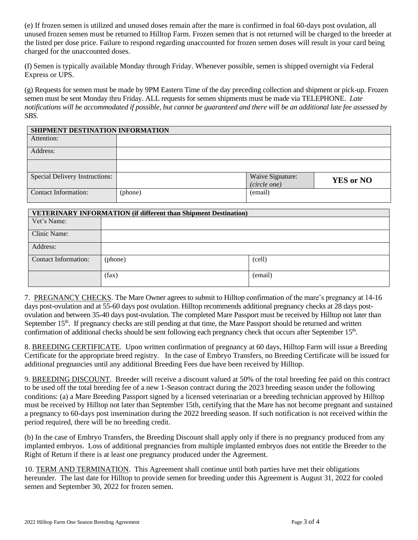(e) If frozen semen is utilized and unused doses remain after the mare is confirmed in foal 60-days post ovulation, all unused frozen semen must be returned to Hilltop Farm. Frozen semen that is not returned will be charged to the breeder at the listed per dose price. Failure to respond regarding unaccounted for frozen semen doses will result in your card being charged for the unaccounted doses.

(f) Semen is typically available Monday through Friday. Whenever possible, semen is shipped overnight via Federal Express or UPS.

(g) Requests for semen must be made by 9PM Eastern Time of the day preceding collection and shipment or pick-up. Frozen semen must be sent Monday thru Friday. ALL requests for semen shipments must be made via TELEPHONE. *Late notifications will be accommodated if possible, but cannot be guaranteed and there will be an additional late fee assessed by SBS.* 

| SHIPMENT DESTINATION INFORMATION      |         |                  |                  |  |
|---------------------------------------|---------|------------------|------------------|--|
| Attention:                            |         |                  |                  |  |
| Address:                              |         |                  |                  |  |
|                                       |         |                  |                  |  |
| <b>Special Delivery Instructions:</b> |         | Waive Signature: | <b>YES or NO</b> |  |
|                                       |         | (circle one)     |                  |  |
| <b>Contact Information:</b>           | (phone) | (email)          |                  |  |

| <b>VETERINARY INFORMATION (if different than Shipment Destination)</b> |         |         |  |
|------------------------------------------------------------------------|---------|---------|--|
| Vet's Name:                                                            |         |         |  |
| Clinic Name:                                                           |         |         |  |
| Address:                                                               |         |         |  |
| Contact Information:                                                   | (phone) | (cell)  |  |
|                                                                        | (fax)   | (email) |  |

7. PREGNANCY CHECKS. The Mare Owner agrees to submit to Hilltop confirmation of the mare's pregnancy at 14-16 days post-ovulation and at 55-60 days post ovulation. Hilltop recommends additional pregnancy checks at 28 days postovulation and between 35-40 days post-ovulation. The completed Mare Passport must be received by Hilltop not later than September  $15<sup>th</sup>$ . If pregnancy checks are still pending at that time, the Mare Passport should be returned and written confirmation of additional checks should be sent following each pregnancy check that occurs after September 15<sup>th</sup>.

8. BREEDING CERTIFICATE. Upon written confirmation of pregnancy at 60 days, Hilltop Farm will issue a Breeding Certificate for the appropriate breed registry. In the case of Embryo Transfers, no Breeding Certificate will be issued for additional pregnancies until any additional Breeding Fees due have been received by Hilltop.

9. BREEDING DISCOUNT. Breeder will receive a discount valued at 50% of the total breeding fee paid on this contract to be used off the total breeding fee of a new 1-Season contract during the 2023 breeding season under the following conditions: (a) a Mare Breeding Passport signed by a licensed veterinarian or a breeding technician approved by Hilltop must be received by Hilltop not later than September 15th, certifying that the Mare has not become pregnant and sustained a pregnancy to 60-days post insemination during the 2022 breeding season. If such notification is not received within the period required, there will be no breeding credit.

(b) In the case of Embryo Transfers, the Breeding Discount shall apply only if there is no pregnancy produced from any implanted embryos. Loss of additional pregnancies from multiple implanted embryos does not entitle the Breeder to the Right of Return if there is at least one pregnancy produced under the Agreement.

10. TERM AND TERMINATION. This Agreement shall continue until both parties have met their obligations hereunder. The last date for Hilltop to provide semen for breeding under this Agreement is August 31, 2022 for cooled semen and September 30, 2022 for frozen semen.